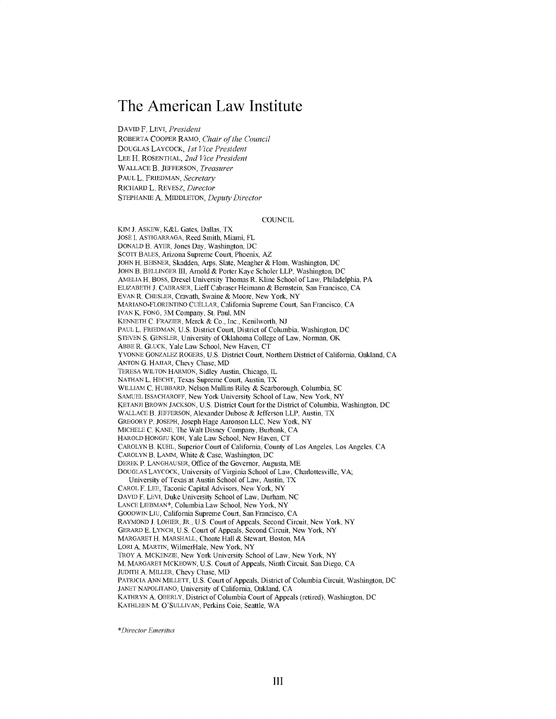# **The American Law Institute**

**DAVID** F. LEVI, *President*

ROBERTA COOPER RAMO, *Chair of the Council* DOUGLAS LAYCOCK, *1st Vice President* **LEE** H. ROSENTHAL, *2nd Vice President* **WALLACE** B. **JEFFERSON,** *Treasurer* **PAUL** L. FRIEDMAN, *Secretary* RICHARD L. REVESZ, *Director* **STEPHANIE A. MIDDLETON,** *Deputy Director*

#### **COUNCIL**

KIM **J.** ASKEW, K&L Gates, Dallas, TX JOSE **I.** ASTIGARRAGA, Reed Smith, Miami, FL **DONALD** B. AYER, Jones Day, Washington, **DC SCOTT BALES,** Arizona Supreme Court, Phoenix, AZ **JOHN** H. BEISNER, Skadden, Arps, Slate, Meagher **&** Flom, Washington, **DC JOHN** B. BELLINGER III, Arnold **&** Porter Kaye Scholer LLP, Washington, **DC** AMELIA H. **BOSS,** Drexel University Thomas R. Kline School of Law, Philadelphia, PA ELIZABETH **J.** CABRASER, Lieff Cabraser Heimann **&** Bernstein, San Francisco, **CA EVAN** R. CHESLER, Cravath, Swaine **&** Moore, New York, NY MARIANO-FLORENTINO CUELLAR, California Supreme Court, San Francisco, **CA IVAN** K. **FONG,** 3M Company, St. *Paul,* **MN KENNETH C.** FRAZIER, Merck **&** Co., Inc., Kenilworth, **NJ PAUL** L. FRIEDMAN, **U.S.** District Court, District of Columbia, Washington, **DC STEVEN S. GENSLER,** University of Oklahoma College of Law, Norman, OK ABBE R. **GLUCK,** Yale Law School, New Haven, **CT YVONNE GONZALEZ** ROGERS, **U.S.** District Court, Northern District of California, Oakland, **CA ANTON G. HAJJAR,** Chevy Chase, MD TERESA WILTON HARMON, **Sidley** Austin, Chicago, IL **NATHAN** L. **HECHT,** Texas Supreme Court, Austin, TX WILLIAM **C.** HUBBARD, Nelson Mullins Riley **&** Scarborough, Columbia, **SC SAMUEL ISSACHAROFF,** New York University School of Law, New York, NY KETANJI BROWN **JACKSON, U.S.** District Court for the District of Columbia, Washington, **DC WALLACE** B. **JEFFERSON,** Alexander Dubose **&** Jefferson LLP, Austin, TX GREGORY P. **JOSEPH,** Joseph Hage Aaronson **LLC,** New York, NY MICHELE **C. KANE, The** Walt Disney Company, Burbank, **CA** HAROLD **HONGJU** KOH, Yale Law School, New Haven, **CT** CAROLYN B. **KUHL,** Superior Court of California, County of Los Angeles, Los Angeles, **CA** CAROLYN B. **LAMM,** White **&** Case, Washington, **DC** DEREK P. **LANGHAUSER,** Office of the Governor, Augusta, ME **DOUGLAS** LAYCOCK, University of Virginia School of Law, Charlottesville, VA; University of Texas at Austin School of Law, Austin, TX CAROL F. **LEE,** Taconic Capital Advisors, New York, NY DAVID F. LEVI, Duke University School of Law, Durham, **NC LANCE** LIEBMAN\*, Columbia Law School, New York, NY GOODWIN LIU, California Supreme Court, San Francisco, **CA** RAYMOND **J.** LOHIER, JR., **U.S.** Court of Appeals, Second Circuit, New York, NY GERARD **E. LYNCH, U.S.** Court of Appeals, Second Circuit, New York, NY MARGARET H. MARSHALL, Choate Hall **&** Stewart, Boston, MA LORI **A.** MARTIN, WilmerHale, New York, NY TROY **A.** MCKENZIE, New York University School of Law, New York, NY M. MARGARET MCKEOWN, **U.S.** Court of Appeals, Ninth Circuit, San Diego, **CA** JUDITH **A.** MILLER, Chevy Chase, MD PATRICIA **ANN** MILLETT, **U.S.** Court of Appeals, District of Columbia Circuit, Washington, **DC JANET** NAPOLITANO, University of California, Oakland, **CA** KATHRYN **A.** OBERLY, District of Columbia Court of Appeals (retired), Washington, **DC KATHLEEN** M. **O'SULLIVAN,** Perkins Coie, Seattle, WA

*\*Director Emeritus*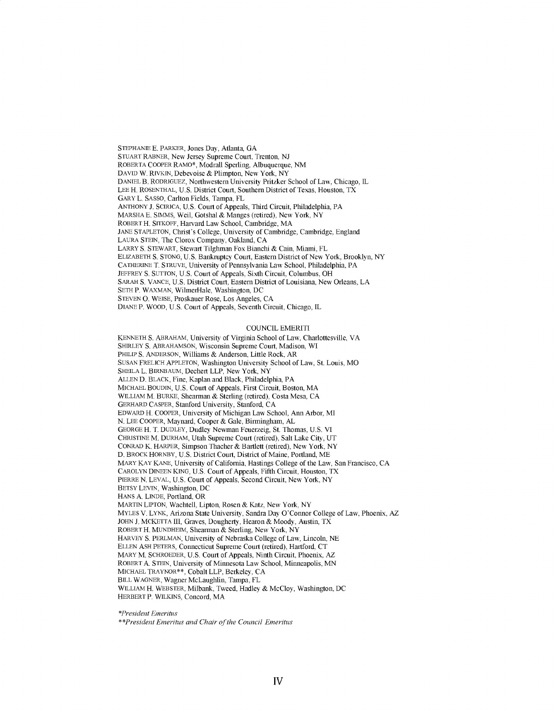**STEPHANIE E.** PARKER, Jones Day, Atlanta, **GA STUART** RABNER, New Jersey Supreme Court, Trenton, **NJ** ROBERTA COOPER RAMO\*, Modrall Sperling, Albuquerque, **NM** DAVID W. RIVKIN, Debevoise **&** Plimpton, New York, NY DANIEL B. RODRIGUEZ, Northwestern University Pritzker School of Law, Chicago, IL **LEE** H. **ROSENTHAL, U.S.** District Court, Southern District of Texas, Houston, TX GARY L. **SASSO,** Carlton Fields, Tampa, FL **ANTHONY J.** SCIRICA, **U.S.** Court of Appeals, Third Circuit, Philadelphia, PA MARSHA **E. SIMMS,** Weil, Gotshal **&** Manges (retired), New York, NY ROBERT H. SITKOFF, Harvard Law School, Cambridge, MA **JANE STAPLETON,** Christ's College, University of Cambridge, Cambridge, England **LAURA STEIN,** The Clorox Company, Oakland, **CA** LARRY **S.** STEWART, Stewart Tilghman Fox Bianchi **&** Cain, Miami, FL ELIZABETH **S. STONG, U.S.** Bankruptcy Court, Eastern District of New York, Brooklyn, NY CATHERINE T. **STRUVE,** University of Pennsylvania Law School, Philadelphia, PA JEFFREY **S. SUTTON, U.S.** Court of Appeals, Sixth Circuit, Columbus, OH SARAH **S. VANCE, U.S.** District Court, Eastern District of Louisiana, New Orleans, **LA SETH** P. WAXMAN, WilmerHale, Washington, **DC STEVEN 0.** WEISE, Proskauer Rose, Los Angeles, **CA** DIANE P. WOOD, **U.S.** Court of Appeals, Seventh Circuit, Chicago, IL

#### **COUNCIL** EMERITI

**KENNETH S.** ABRAHAM, University of Virginia School of Law, Charlottesville, VA SHIRLEY **S.** ABRAHAMSON, Wisconsin Supreme Court, Madison, WI PHILIP **S. ANDERSON,** Williams **&** Anderson, Little Rock, AR **SUSAN** FRELICH **APPLETON,** Washington University School of Law, St. Louis, MO SHEILA L. BIRNBAUM, Dechert LLP, New York, NY **ALLEN D.** BLACK, Fine, Kaplan and Black, Philadelphia, PA MICHAEL BOUDIN, **U.S.** Court of Appeals, First Circuit, Boston, MA WILLIAM M. BURKE, Shearman **&** Sterling (retired), Costa Mesa, **CA** GERHARD CASPER, Stanford University, Stanford, **CA** EDWARD H. COOPER, University of Michigan Law School, Ann Arbor, MI **N. LEE** COOPER, Maynard, Cooper **&** Gale, Birmingham, **AL GEORGE** H. T. **DUDLEY,** Dudley Newman Feuerzeig, St. Thomas, **U.S.** VI CHRISTINE M. DURHAM, Utah Supreme Court (retired), Salt Lake City, **UT CONRAD** K. HARPER, Simpson Thacher **&** Bartlett (retired), New York, NY **D.** BROCK HORNBY, **U.S.** District Court, District of Maine, Portland, ME MARY KAY **KANE,** University of California, Hastings College of the Law, San Francisco, **CA** CAROLYN **DINEEN** KING, **U.S.** Court of Appeals, Fifth Circuit, Houston, TX PIERRE **N.** LEVAL, **U.S.** Court of Appeals, Second Circuit, New York, NY BETSY LEVIN, Washington, **DC HANS A. LINDE,** Portland, OR MARTIN **LIPTON,** Wachtell, Lipton, Rosen **&** Katz, New York, NY MYLES V. LYNK, Arizona State University, Sandra Day O'Connor College of Law, Phoenix, AZ **JOHN J.** MCKETTA III, Graves, Dougherty, Hearon **&** Moody, Austin, TX ROBERT H. MUNDHEIM, Shearman **&** Sterling, New York, NY HARVEY **S.** PERLMAN, University of Nebraska College of Law, Lincoln, **NE ELLEN ASH** PETERS, Connecticut Supreme Court (retired), Hartford, **CT** MARY M. SCHROEDER, **U.S.** Court of Appeals, Ninth Circuit, Phoenix, AZ ROBERT **A.** STEIN, University of Minnesota Law School, Minneapolis, **MN** MICHAEL TRAYNOR\*\*, Cobalt LLP, Berkeley, **CA** BILL WAGNER, Wagner McLaughlin, Tampa, FL WILLIAM H. WEBSTER, Milbank, Tweed, Hadley **&** McCloy, Washington, **DC** HERBERT P. WILKINS, Concord, MA

*\*President Emeritus*

\*\*President *Emeritus and Chair of the Council Emeritus*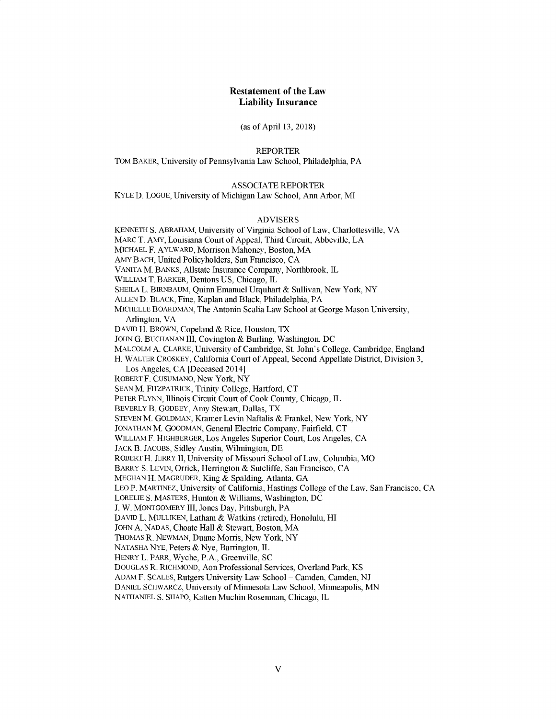## **Restatement of the Law Liability Insurance**

(as of April **13,** 2018)

REPORTER

TOM BAKER, University of Pennsylvania Law School, Philadelphia, PA

# **ASSOCIATE** REPORTER

KYLE **D. LOGUE,** University of Michigan Law School, Ann Arbor, MI

#### ADVISERS

**KENNETH S.** ABRAHAM, University of Virginia School of Law, Charlottesville, VA MARC T. AMY, Louisiana Court of Appeal, Third Circuit, Abbeville, **LA MICHAEL** F. AYLWARD, Morrison Mahoney, Boston, MA AMY BACH, United Policyholders, San Francisco, **CA VANITA** M. **BANKS,** Allstate Insurance Company, Northbrook, IL WILLIAM T. BARKER, Dentons **US,** Chicago, IL **SHEILA** L. BIRNBAUM, Quinn Emanuel Urquhart **&** Sullivan, New York, NY **ALLEN D.** BLACK, Fine, Kaplan and Black, Philadelphia, PA MICHELLE BOARDMAN, The Antonin Scalia Law School at George Mason University, Arlington, VA **DAVID** H. BROWN, Copeland **&** Rice, Houston, TX **JOHN G. BUCHANAN** III, Covington **&** Burling, Washington, **DC** MALCOLM **A.** CLARKE, University of Cambridge, St. John's College, Cambridge, England H. WALTER CROSKEY, California Court of Appeal, Second Appellate District, Division **3,** Los Angeles, **CA** [Deceased 2014] ROBERT F. **CUSUMANO,** New York, NY **SEAN** M. FITZPATRICK, Trinity College, Hartford, **CT** PETER **FLYNN,** Illinois Circuit Court of Cook County, Chicago, IL BEVERLY B. GODBEY, Amy Stewart, Dallas, TX **STEVEN** M. **GOLDMAN,** Kramer Levin Naftalis **&** Frankel, New York, NY **JONATHAN** M. **GOODMAN,** General Electric Company, Fairfield, **CT** WILLIAM F. HIGHBERGER, Los Angeles Superior Court, Los Angeles, **CA** JACK B. **JACOBS,** Sidley Austin, Wilmington, **DE** ROBERT H. JERRY **II,** University of Missouri School of Law, Columbia, MO BARRY **S. LEVIN,** Orrick, Herrington **&** Sutcliffe, San Francisco, **CA MEGHAN** H. MAGRUDER, King **&** Spalding, Atlanta, **GA LEO** P. MARTINEZ, University of California, Hastings College of the Law, San Francisco, **CA** LORELIE **S.** MASTERS, Hunton **&** Williams, Washington, **DC J.** W. MONTGOMERY III, Jones Day, Pittsburgh, PA **DAVID** L. **MULLIKEN,** Latham **&** Watkins (retired), Honolulu, HI **JOHN A. NADAS,** Choate Hall **&** Stewart, Boston, MA **THOMAS** R. **NEWMAN,** Duane Morris, New York, NY **NATASHA NYE,** Peters **&** Nye, Barrington, IL HENRY L. PARR, Wyche, P.A., Greenville, **SC DOUGLAS** R. **RICHMOND,** Aon Professional Services, Overland Park, KS **ADAM** F. **SCALES,** Rutgers University Law School **-** Camden, Camden, **NJ DANIEL** SCHWARCZ, University of Minnesota Law School, Minneapolis, **MN**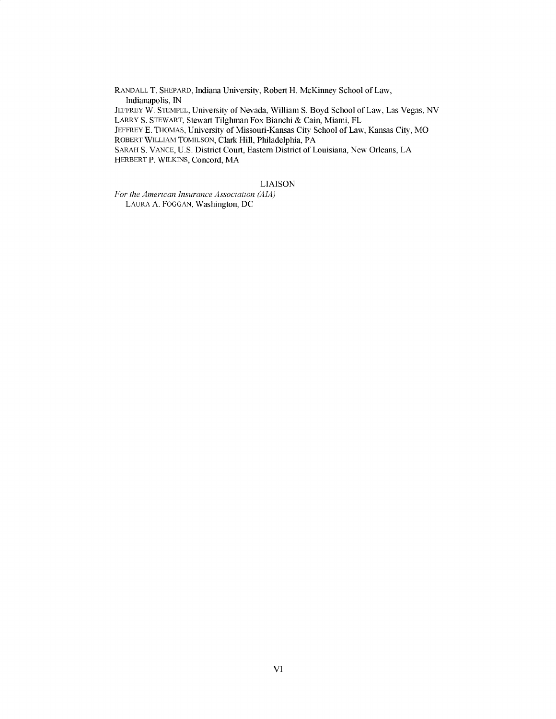RANDALL T. SHEPARD, Indiana University, Robert H. McKinney School of Law, Indianapolis, **IN** JEFFREY W. STEMPEL, University of Nevada, William **S.** Boyd School of Law, Las Vegas, **NV** LARRY **S.** STEWART, Stewart Tilghman Fox Bianchi **&** Cain, Miami, FL JEFFREY **E.** THOMAS, University of Missouri-Kansas City School of Law, Kansas City, MO ROBERT WILLIAM **TOMILSON,** Clark Hill, Philadelphia, PA SARAH **S. VANCE, U.S.** District Court, Eastern District of Louisiana, New Orleans, **LA** HERBERT P. WILKINS, Concord, MA

## **LIAISON**

*For the American Insurance Association (AIA)* **LAURA A. FOGGAN,** Washington, **DC**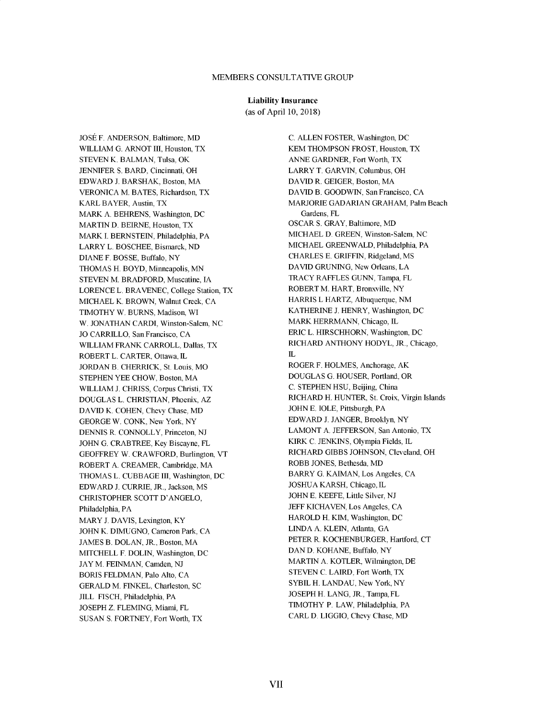# MEMBERS **CONSULTATIVE** GROUP

#### Liability Insurance

(as of April **10,** 2018)

**JOSE** F. **ANDERSON,** Baltimore, MD WLLIAM **G.** ARNOT III, Houston, TX **STEVEN** K. **BALMAN,** Tulsa, OK **JENNIFER S.** BARD, Cincinnati, OH EDWARD **J.** BARSHAK, Boston, MA **VERONICA** M. **BATES,** Richardson, TX KARL BAYER, Austin, TX MARK **A.** BEHRENS, Washington, **DC** MARTIND. BEIRNE, Houston, TX MARK **I. BERNSTEIN,** Philadelphia, PA LARRY L. **BOSCHEE,** Bismarck, **ND DIANE** F. **BOSSE,** Buffalo, NY **THOMAS** H. BOYD, Minneapolis, **MN STEVEN** M. BRADFORD, Muscatine, **IA LORENCE** L. BRAVENEC, College Station, TX **MICHAEL** K. BROWN, Walnut Creek, **CA** TIMOTHY W. **BURNS,** Madison, WI W. **JONATHAN** CARDI, Winston-Salem, **NC JO** CARRWLO, San Francisco, **CA** WLLIAM FRANK CARROLL, Dallas, TX ROBERT L. CARTER, Ottawa, **L JORDAN** B. CHERRICK, St. Louis, MO **STEPHEN** YEE CHOW, Boston, MA WLLIAM **J.** CHRISS, Corpus Christi, TX **DOUGLAS** L. **CHRISTIAN,** Phoenix, AZ **DAVID** K. **COHEN,** Chevy Chase, MD **GEORGE** W. **CONK,** New York, NY **DENNIS** R. **CONNOLLY,** Princeton, **NJ** JOHN **G.** CRABTREE, **Key** Biscayne, FL GEOFFREY W. CRAWFORD, Burlington, VT ROBERT **A.** CREAMER, Cambridge, MA **THOMAS** L. **CUBBAGE** III, Washington, **DC** EDWARD **J.** CURRIE, JR., Jackson, MS CHRISTOPHER **SCOTT D'ANGELO,** Philadelphia, PA MARY **J. DAVIS,** Lexington, KY JOHN K. **DIMUGNO,** Cameron Park, **CA JAMES** B. **DOLAN,** JR., Boston, MA MITCHELL F. **DOLIN,** Washington, **DC JAY** M. **FEINMAN,** Camden, **NJ** BORIS **FELDMAN,** Palo Alto, **CA** GERALD M. **FINKEL,** Charleston, **SC JILL FISCH,** Philadelphia, PA **JOSEPH** Z. **FLEMING,** Miami, FL **SUSAN S.** FORTNEY, Fort Worth, TX

**C. ALLEN** FOSTER, Washington, **DC** KEM **THOMPSON** FROST, Houston, TX **ANNE** GARDNER, Fort Worth, TX LARRY T. GARVIN, Columbus, OH **DAVID** R. **GEIGER,** Boston, MA **DAVID** B. **GOODWIN,** San Francisco, **CA** MARJORIE **GADARIAN** GRAHAM, Palm Beach Gardens, FL OSCAR **S.** GRAY, Baltimore, MD **MICHAEL D. GREEN,** Winston-Salem, **NC MICHAEL** GREENWALD, Philadelphia, PA CHARLES **E.** GRIFFIN, Ridgeland, MS **DAVID GRUNING,** New Orleans, **LA** TRACY RAFFLES **GUNN,** Tampa, FL ROBERT M. HART, Bronxville, NY HARRIS L HARTZ, Albuquerque, **NM** KATHERINE **J.** HENRY, Washington, **DC** MARK HERRMANN, Chicago, IL ERIC L. HIRSCHHORN, Washington, **DC** RICHARD **ANTHONY** HODYL, JR., Chicago,  $\rm I\!L$ ROGER F. **HOLMES,** Anchorage, AK **DOUGLAS G. HOUSER,** Portland, OR **C. STEPHEN HSU,** Beijing, China RICHARD H. **HUNTER,** St. Croix, Virgin Islands **JOHN E. IOLE,** Pittsburgh, PA EDWARD J. JANGER, Brooklyn, NY **LAMONT A. JEFFERSON,** San Antonio, TX KIRK **C. JENKINS,** Olympia Fields, IL RICHARD GIBBS **JOHNSON,** Cleveland, OH ROBB **JONES,** Bethesda, MD BARRY **G. KAIMAN,** Los Angeles, **CA JOSHUA** KARSH, Chicago, IL **JOHN E. KEEFE,** Little Silver, **NJ JEFF KICHAVEN,** Los Angeles, **CA** HAROLD H. KIM, Washington, **DC LINDA A. KLEIN,** Atlanta, **GA** PETER R. KOCHENBURGER, Hartford, **CT DAND. KOHANE,** Buffalo, NY MARTIN **A.** KOTLER, Wilmington **DE STEVEN C.** LAIRD, Fort Worth, TX SYBIL H. **LANDAU,** New York, NY **JOSEPH** H. **LANG,** JR., Tampa, FL TIMOTHY P. LAW, Philadelphia, PA CARL **D. LIGGIO,** Chevy Chase, MD